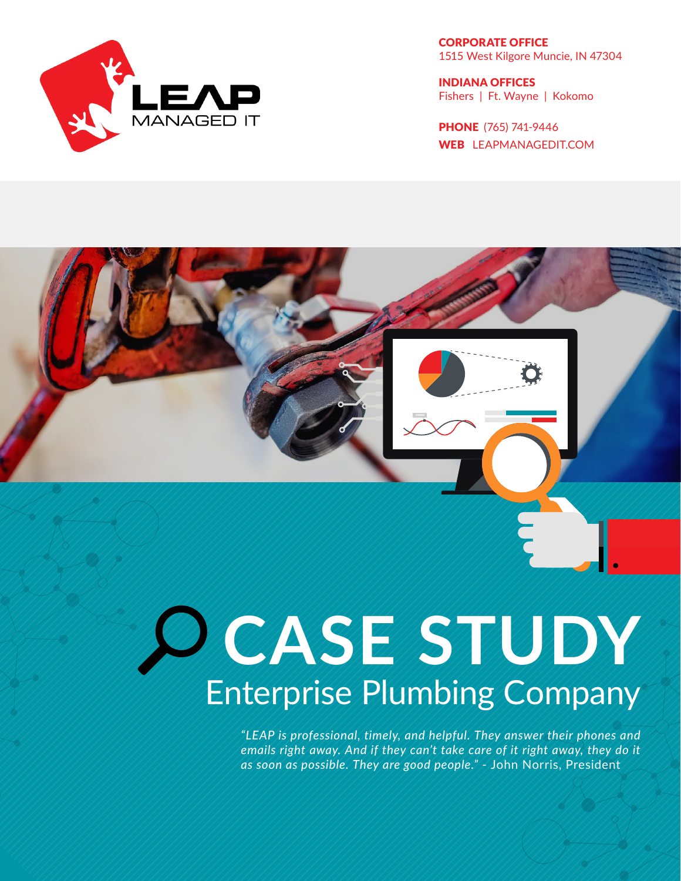

CORPORATE OFFICE 1515 West Kilgore Muncie, IN 47304

INDIANA OFFICES Fishers | Ft. Wayne | Kokomo

PHONE (765) 741-9446 WEB LEAPMANAGEDIT.COM

# **CASE STUDY** Enterprise Plumbing Company

*"LEAP is professional, timely, and helpful. They answer their phones and emails right away. And if they can't take care of it right away, they do it as soon as possible. They are good people."* - John Norris, President